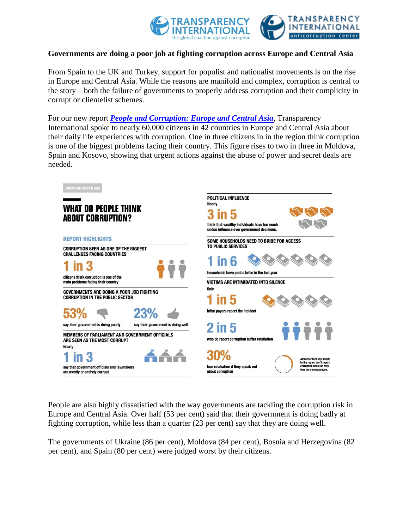

### **Governments are doing a poor job at fighting corruption across Europe and Central Asia**

From Spain to the UK and Turkey, support for populist and nationalist movements is on the rise in Europe and Central Asia. While the reasons are manifold and complex, corruption is central to the story – both the failure of governments to properly address corruption and their complicity in corrupt or clientelist schemes.

For our new report *[People and Corruption: Europe and Central Asia](http://www.transparency.org/whatwedo/publication/7493)*, Transparency International spoke to nearly 60,000 citizens in 42 countries in Europe and Central Asia about their daily life experiences with corruption. One in three citizens in in the region think corruption is one of the biggest problems facing their country. This figure rises to two in three in Moldova, Spain and Kosovo, showing that urgent actions against the abuse of power and secret deals are needed.



People are also highly dissatisfied with the way governments are tackling the corruption risk in Europe and Central Asia. Over half (53 per cent) said that their government is doing badly at fighting corruption, while less than a quarter (23 per cent) say that they are doing well.

The governments of Ukraine (86 per cent), Moldova (84 per cent), Bosnia and Herzegovina (82 per cent), and Spain (80 per cent) were judged worst by their citizens.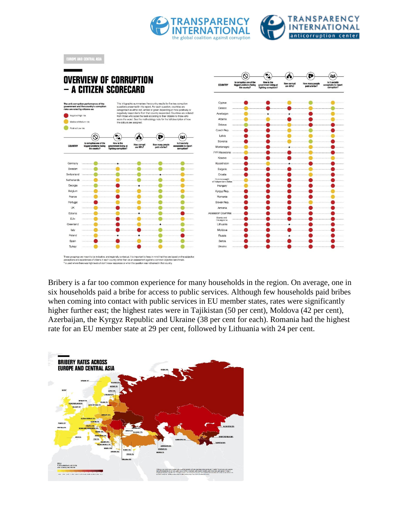



Bribery is a far too common experience for many households in the region. On average, one in six households paid a bribe for access to public services. Although few households paid bribes when coming into contact with public services in EU member states, rates were significantly higher further east; the highest rates were in Tajikistan (50 per cent), Moldova (42 per cent), Azerbaijan, the Kyrgyz Republic and Ukraine (38 per cent for each). Romania had the highest rate for an EU member state at 29 per cent, followed by Lithuania with 24 per cent.

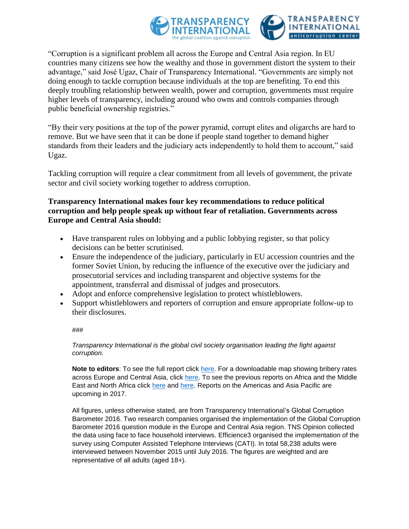

"Corruption is a significant problem all across the Europe and Central Asia region. In EU countries many citizens see how the wealthy and those in government distort the system to their advantage," said José Ugaz, Chair of Transparency International. "Governments are simply not doing enough to tackle corruption because individuals at the top are benefiting. To end this deeply troubling relationship between wealth, power and corruption, governments must require higher levels of transparency, including around who owns and controls companies through public beneficial ownership registries."

"By their very positions at the top of the power pyramid, corrupt elites and oligarchs are hard to remove. But we have seen that it can be done if people stand together to demand higher standards from their leaders and the judiciary acts independently to hold them to account," said Ugaz.

Tackling corruption will require a clear commitment from all levels of government, the private sector and civil society working together to address corruption.

### **Transparency International makes four key recommendations to reduce political corruption and help people speak up without fear of retaliation. Governments across Europe and Central Asia should:**

- Have transparent rules on lobbying and a public lobbying register, so that policy decisions can be better scrutinised.
- Ensure the independence of the judiciary, particularly in EU accession countries and the former Soviet Union, by reducing the influence of the executive over the judiciary and prosecutorial services and including transparent and objective systems for the appointment, transferral and dismissal of judges and prosecutors.
- Adopt and enforce comprehensive legislation to protect whistleblowers.
- Support whistleblowers and reporters of corruption and ensure appropriate follow-up to their disclosures.

#### ###

*Transparency International is the global civil society organisation leading the fight against corruption.*

**Note to editors**: To see the full report click [here.](https://www.transparency.org/whatwedo/publication/7493) For a downloadable map showing bribery rates across Europe and Central Asia, click [here.](https://www.transparency.org/whatwedo/publication/7493) To see the previous reports on Africa and the Middle East and North Africa click [here](http://www.transparency.org/whatwedo/publication/people_and_corruption_africa_survey_2015) and [here.](http://www.transparency.org/whatwedo/publication/people_and_corruption_mena_survey_2016) Reports on the Americas and Asia Pacific are upcoming in 2017.

All figures, unless otherwise stated, are from Transparency International's Global Corruption Barometer 2016. Two research companies organised the implementation of the Global Corruption Barometer 2016 question module in the Europe and Central Asia region. TNS Opinion collected the data using face to face household interviews. Efficience3 organised the implementation of the survey using Computer Assisted Telephone Interviews (CATI). In total 58,238 adults were interviewed between November 2015 until July 2016. The figures are weighted and are representative of all adults (aged 18+).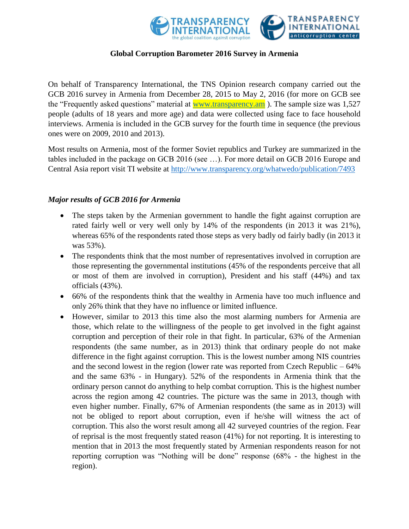

# **Global Corruption Barometer 2016 Survey in Armenia**

On behalf of Transparency International, the TNS Opinion research company carried out the GCB 2016 survey in Armenia from December 28, 2015 to May 2, 2016 (for more on GCB see the "Frequently asked questions" material at <u>www.transparency.am</u>). The sample size was 1,527 people (adults of 18 years and more age) and data were collected using face to face household interviews. Armenia is included in the GCB survey for the fourth time in sequence (the previous ones were on 2009, 2010 and 2013).

Most results on Armenia, most of the former Soviet republics and Turkey are summarized in the tables included in the package on GCB 2016 (see …). For more detail on GCB 2016 Europe and Central Asia report visit TI website at<http://www.transparency.org/whatwedo/publication/7493>

# *Major results of GCB 2016 for Armenia*

- The steps taken by the Armenian government to handle the fight against corruption are rated fairly well or very well only by 14% of the respondents (in 2013 it was 21%), whereas 65% of the respondents rated those steps as very badly od fairly badly (in 2013 it was 53%).
- The respondents think that the most number of representatives involved in corruption are those representing the governmental institutions (45% of the respondents perceive that all or most of them are involved in corruption), President and his staff (44%) and tax officials (43%).
- 66% of the respondents think that the wealthy in Armenia have too much influence and only 26% think that they have no influence or limited influence.
- However, similar to 2013 this time also the most alarming numbers for Armenia are those, which relate to the willingness of the people to get involved in the fight against corruption and perception of their role in that fight. In particular, 63% of the Armenian respondents (the same number, as in 2013) think that ordinary people do not make difference in the fight against corruption. This is the lowest number among NIS countries and the second lowest in the region (lower rate was reported from Czech Republic – 64% and the same 63% - in Hungary). 52% of the respondents in Armenia think that the ordinary person cannot do anything to help combat corruption. This is the highest number across the region among 42 countries. The picture was the same in 2013, though with even higher number. Finally, 67% of Armenian respondents (the same as in 2013) will not be obliged to report about corruption, even if he/she will witness the act of corruption. This also the worst result among all 42 surveyed countries of the region. Fear of reprisal is the most frequently stated reason (41%) for not reporting. It is interesting to mention that in 2013 the most frequently stated by Armenian respondents reason for not reporting corruption was "Nothing will be done" response (68% - the highest in the region).